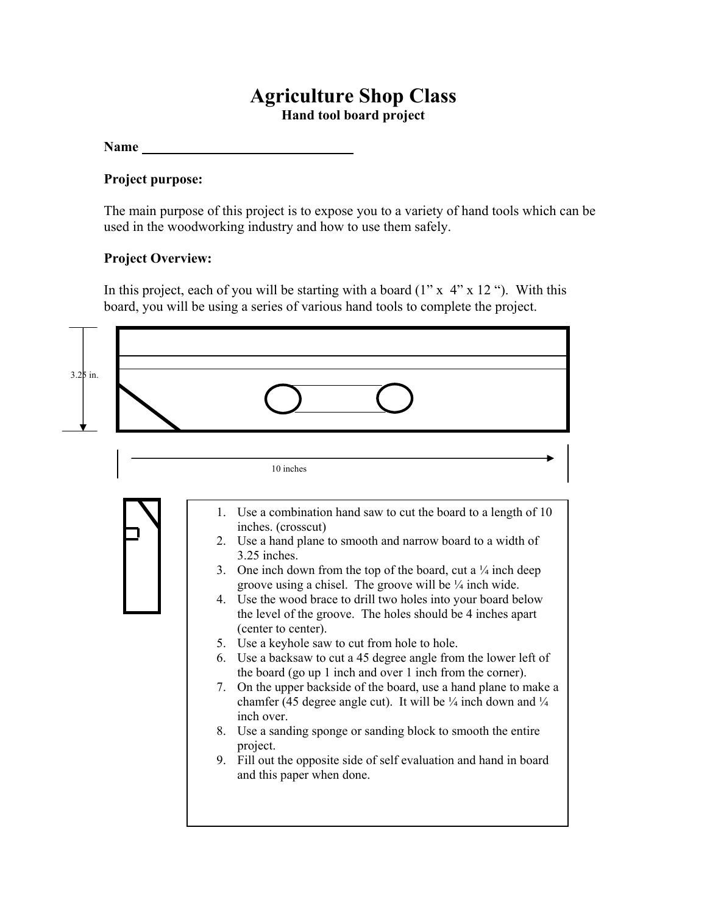## **Agriculture Shop Class**

**Hand tool board project** 

**Name** 

## **Project purpose:**

The main purpose of this project is to expose you to a variety of hand tools which can be used in the woodworking industry and how to use them safely.

## **Project Overview:**

In this project, each of you will be starting with a board  $(1'' \times 4'' \times 12'')$ . With this board, you will be using a series of various hand tools to complete the project.